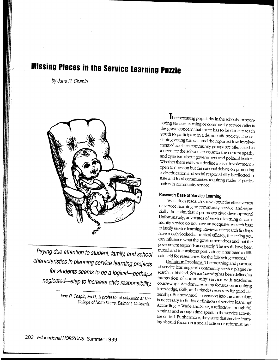# **Missing Pieces in the Service Learning Puzzle**

by June R. Chapin



Paying due attention to student, family, and school characteristics in planning service learning projects for students seems to be a logical-perhaps neglected-step to increase civic responsibility.

> June R. Chapin, Ed.D., is professor of education at The College of Notre Dame, Belmont, California.

The increasing popularity in the schools for sponsoring service learning or community service reflects the grave concern that more has to be done to teach youth to participate in a democratic society. The declining voting turnout and the reported low involvement of adults in community groups are often cited as <sup>a</sup>need for the schools to counter the current apathy and cynicism about government and political leaders. Whether there really is a decline in civic involvement is open to question but the national debate on promoting civic education and social responsibility is reflected in state and local communities requiring students' participation in community service.<sup>1</sup>

1

landin (d. 1955)<br>1944 - Antonio Barristo, amerikansk fotograf (d. 1957)<br>1945 - Antonio Barristo, amerikansk fotograf (d. 1957) 1 I i

' f. .j 'I

> I I

 $\mathcal{L}$ 

I  $\vert$ 

 $\mathbb{I}$ ·I

 $\mathbf{I}$ j

 $\mathbf{I}$ I

**I** 

 $\mathbf{1}$ :1 .I i

## Research Base of Service Learning

What does research show about the effectiveness of service learning or community service, and especially the claim that it promotes civic development? Unfortunately, advocates of service learning or community service do not have an adequate research base to justify service learning. Reviews of research findings have mostly looked at political efficacy, the feeling you can influence what the government does and that the government responds adequately. The results have been mixed and inconsistent partly since it has been a difficult field for researchers for the following reasons. <sup>2</sup>

Definition Problems. The meaning and purpose of service learning and community service plague research in this field. Service *learning* has been defined as integration of community service with academic coursework. Academic learning focuses on acquiring knowledge, skills, and attitudes necessary for good citizenship. But how much integration into the curriculum is necessary to fit this definition of service learning? According to Wade and Saxe, a reflective, thoughtful seminar and enough time spent in the service activity are critical. Furthermore, they state that service learning should focus on a social action or reformist per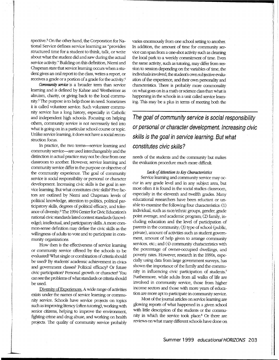spective.<sup>3</sup> On the other hand, the Corporation for National Service defines service learning as "provides structured time for a student to think, talk, or write about what the student did and saw during the actual service activity." Building on this definition, Niemi and Chapman state that service learning occurs when a student gives an oral report to the class, writes a report, or receives a grade or a portion of a grade for the activity.<sup>4</sup>

l

*Community service* is a broader term than service learning and is defmed by Kahne and Westheimer as altruism, charity, or giving back to the local community.5 The purpose is to help those in need. Sometimes it is called volunteer service. Such volunteer community service has a long history, especially in Catholic and independent high schools. Focusing on helping others, community service is not necessarily tied into what is going on in a particular school course or topic. Unlike service learning, it does not have a social reconstruction focus.

In practice, the two terms-service learning and community service-are used interchangeably and the distinction in actual practice may not be clear from one classroom to another. However, service learning and community service differ in the purpose or objective of the community eXperience. The goal of community service is social responsibility or personal or character development. Increasing civic skills is the goal in service learning. But what constitutes civic skills? Five factors are outlined by Niemi and Chapman: levels of political knowledge, attention to politics, political participatory skills, degrees of political efficacy, and tolerance of diversity.<sup>6</sup>The 1994 Center for Civic Education's national civic standards listed content standards (knowledge), intellectual, and participatory skills. A more common-sense defmition may define the civic skills as the willingness of adults to vote and to participate in community organizations.

How then is the effectiveness of service learning or community service offered by the schools to be evaluated? What single or combination of criteria should be used? By students' academic achievement in civics and government classes? Political efficacy? Or future civic participation? Personal growth or character? You can see the problems of what standards or criteria should be used.

Diversity of Experiences. A wide range of activities exists under the names of service learning or community service. Schools have service projects on topics such as improving literacy (often tutoring), working with senior citizens, helping to improve the environment, fighting crime and drug abuse, and working on health projects. The quality of community service probably

varies enormously from one school setting to another. In addition, the amount of time for community service can span from a one-shot activity such as cleaning the local park to a weekly commitment of time. Even the same activity, such as tutoring, may differ from session to session depending on the variables of time, the individuals involved, the student's own subjective evaluation of the experience, and their own personality and characteristics. There is probably more commonality on what goes on in a math or science class than what is happening in the schools in a unit called service learning. This may be a plus in terms of meeting both the

**The goal of community service is social responsibility or personal or character development. Increasing civic skills is the goal in service learning. But what constitutes civic skills?** 

needs of the students and the community but makes the evaluation procedure much more difficult.

#### *Lack of Attention to* Key *Characteristics*

Service learning and community service may occur in any grade level and in any subject area, but most often it is found in the social studies classroom, especially in the eleventh and twelfth grades. Many educational researchers have been reluctant or unable to examine the following four characteristics: (1) individual, such as race/ethnic groups, gender, grade point average, and academic program; (2) family, including education and the level of participation of parents in the community; (3) type of school (public, private), amount of activities such as student government, amount of help given to arrange community services, etc.; and  $(4)$  community characteristics with the percentage of owner-occupied dwellings, and poverty rates. However, research in the 1990s, especially using data from large government surveys, has shown the importance of the family and the community in influencing civic participation of students? Furthermore, while adults from all walks of life are involved in community service, those from higher income sectors and those with more years of education are more apt to participate in community service.

Most of the journal articles on service learning are <sup>g</sup>lowing reports of what happened in a given school with little description of the students or the community in which the service took place.<sup>8</sup> Or there are reviews on what many different schools have done on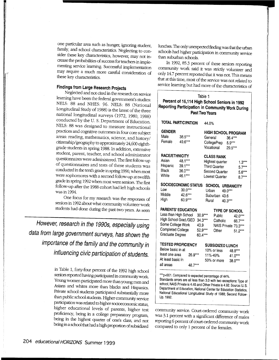one particular area such as hunger, ignoring student, family, and school characteristics. Neglecting to consider these key characteristics, however, may not increase the probabilities of success for teachers in implementing service learning. Successful implementation may require a much more careful consideration of these key characteristics.

### Findings from Large Research Projects

Neglected and not cited in the research on service learning have been the federal government's studies: NELS: 88 and NHES: 96. NELS: 88 (National Longitudinal Study of 1988) is the latest of the three national longitudinal surveys (1972, 1980, 1988) conducted by the U.S. Department of Education. NELS: 88 was designed to measure instructional practices and cognitive outcomes in four core subject areas: reading, mathematics, science, and history/ citizenship/geography to approximately 24,600 eighthgrade students in spring 1988. In addition, extensive student, parent, teacher, and school administrator questionnaires were administered. The first follow-up of questionnaires and tests of these students was conducted in the tenth grade in spring 1990, when most were sophomores with a second follow-up at twelfth grade in spring 1992 when most were seniors. The first follow-up after the 1988 cohort had left high schools was in 1994.

One focus for my research was the responses of seniors in 1992 about what community volunteer work students had done during the past two years. As seen

However, research in the 1990s, especially using data from large government surveys, has shown the importance of the family and the community in influencing civic participation of students.

> in Table 1, forty-four percent of the 1992 high school seniors reported having participated in comrnunitywotk. Young women participated more than young men and Asians and whites more than blacks and Hispanics. Private school students participated substantially more than public school students. Higher community service participation was related to higher socioeconomic status, higher educational levels of parents, higher test proficiency, being in a college preparatory program, being in the highest quarter of one's class, and not being in a school that had a high proportion of subsidized

lunches. The only unexpected finding was that the urban schools had higher participation in community service than suburban schools.

In 1992, 85.3 percent of these seniors reporting community work said it was strictly volunteer and only 14.7 percent reported that it was not. This means that at this time, most of the service was not related to service learning but had more of the characteristics of

| Table 1<br>Percent of 16,114 High School Seniors in 1992<br>Reporting Participation in Community Work During<br>Past Two Years |                                                                |                                                  |                                                                                                  |          |                                        |                                              |  |  |
|--------------------------------------------------------------------------------------------------------------------------------|----------------------------------------------------------------|--------------------------------------------------|--------------------------------------------------------------------------------------------------|----------|----------------------------------------|----------------------------------------------|--|--|
| <b>TOTAL PARTICIPATION</b>                                                                                                     |                                                                |                                                  | 44.0%                                                                                            |          |                                        |                                              |  |  |
| <b>GENDER</b><br>Male<br>Female                                                                                                | 38.5***<br>49.6***                                             |                                                  | <b>HIGH SCHOOL PROGRAM</b><br>General<br>CollegePrep<br>Vocational                               |          | 36.4***<br>$5.9***$<br>29.5***         |                                              |  |  |
| <b>RACE/ETHNICITY</b><br>Asian<br>Hispanic<br><b>Black</b><br>White                                                            | 48.1***<br>39.1***<br>36.0***<br>46.1***                       |                                                  | <b>CLASS RANK</b><br>Highest quarter<br><b>Third Quarter</b><br>Second Quarter<br>Lowest Quarter |          |                                        | $1.3***$<br>$5.7***$<br>$5.6***$<br>$8.7***$ |  |  |
| Low<br>Middle<br>High                                                                                                          | <b>SOCIOECONOMIC STATUS</b><br>$30.0***$<br>42.6***<br>60.9*** |                                                  | SCHOOL URBANICITY<br>Urban<br>Suburban 43.6<br>Rural                                             |          | 49.0***<br>40.3***                     |                                              |  |  |
| Less than High School<br>Some College Work<br>Completed College<br>Graduate Degree                                             | <b>PARENTS' EDUCATION</b><br>High School Grad./GED             | 30.9***<br>34.3***<br>43.9<br>52.9***<br>60.4*** | Public<br>Other                                                                                  | Catholic | TYPE OF SCHOOL<br>NAIS Private 73.3*** | 42.0***<br>66.7***<br>51.2***                |  |  |
| Below basic in at<br>least one area<br>At least basic in<br>all areas                                                          | <b>TESTED PROFICIENCY</b><br>26.9***<br>48.7***                |                                                  | SUBSIDIZED LUNCH<br>10% or less<br>11%-49%<br>50% or more                                        |          | 48.8***<br>41.0***<br>38.0***          |                                              |  |  |
| ***p<001. Compared to expected percentage of 44%.                                                                              |                                                                |                                                  |                                                                                                  |          |                                        |                                              |  |  |

Standards errors are all less than 3.0 with two exceptions: Type of school, NAIS Private is 4.45 and Other Private is 4.92. Source: U.S. Department of Education, National Center for Education Statistics, National Educational Longitudinal Study of 1988; Second Follow-Up, 1992.

community service. Court-ordered community work was 3.1 percent with a significant difference of males reporting 6 percent of court -ordered community work compared to only 1 percent of the females.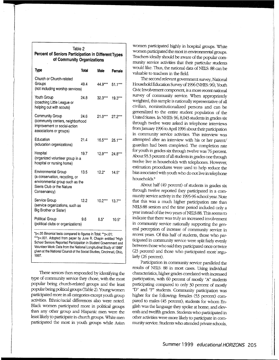| Table 2                                             |  |  |  |  |  |  |  |
|-----------------------------------------------------|--|--|--|--|--|--|--|
| Percent of Seniors Participation in Different Types |  |  |  |  |  |  |  |
| of Community Organizations                          |  |  |  |  |  |  |  |
|                                                     |  |  |  |  |  |  |  |

| Type                                                                                                                                         | <b>Total</b> | Male            | Female    |
|----------------------------------------------------------------------------------------------------------------------------------------------|--------------|-----------------|-----------|
| Church or Church-related<br>Groups<br>(not including worship services)                                                                       | 49.4         | 44.9*** 51.1*** |           |
| Youth Group<br>(coaching Little League or<br>helping out with scouts)                                                                        | 24.8         | $32.3***$       | $19.3***$ |
| Community Group<br>(community centers, neighborhood<br>improvement or social-action<br>associations or groups)                               | 24.6         | $21.0***$       | $27.2***$ |
| Education<br>(education organizations)                                                                                                       | 21.4         | $16.5***$       | $25.1***$ |
| Hospital<br>(organized volunteer group in a<br>hospital or nursing home)                                                                     | 19.7         | $12.9***$       | 24.8***   |
| <b>Environmental Group</b><br>(a conservation, recycling, or<br>environmental group such as the<br>Sierra Club or the Nature<br>Conservancy) | 13.5         | $12.2^*$        | $14.5*$   |
| Service Group<br>(service organizations, such as<br>Big Brother or Sister)                                                                   | 12.2         | $10.2***$       | $13.7***$ |
| Political Group<br>(political clubs or organizations)                                                                                        | 9.6          | $8.5*$          | $10.5*$   |

'p<.D5 Binomial tests compared to figures in Total; "p<.01; \*\*\*p<.001. Adopted from paper by June R. Chapin entitled "High School Seniors Reported Participation in Siudent Government and Volunteer Work: Data from the National Longitudinal Study of 1988" given at the National Council of the Social Studies, Cincinnati, Ohio, 1997.

These seniors then responded by identifying the type of community service they chose, with the most popular being church-related groups and the least popular beirlg political groups (Table 2). Young women participated more in all categories except youth group activities. Ethnic/racial differences also were noted. Black women participated more in political groups than any other group and Hispanic men were the least likely to participate in church groups. White men participated the most in youth groups while Asian

women participated highly in hospital groups. White women participated the most in environmental groups. Teachers ideally should be aware of the popular community service activities that their particular students would like. Thus, the national data of NELS: 88 can be valuable to teachers in the field.

The second relevant government survey, National Household Education Swvey of 1996 (NHES: 96), Youth Civic Involvement component, is a more recent national survey of community service. When appropriately weighted, this sample is nationally representative of all civilian, noninstitutionalized persons and can be generalized to the entire student population of the United States. In NHES: 96, 8,043 students in grades six through twelve were asked in telephone interviews from January 1996 to April 1996 about their participation in community service activities. This interview was attempted after an interview with his or her parent/ guardian had been completed. The completion rate for youth in grades six through twelve was 76 percent. About 93.3 percent of all students in grades one through twelve live in households with telephones. However, estimation procedures were used to help reduce the bias associated with youth who do not live in telephone households?

About half (49 percent) of students in grades six through twelve reported they participated in a community service activity in the 1995-% school year. Note that this was a much higher participation rate than NELS:88 seniors and the time period included only a year instead of the two years of NELS:88. This seems to indicate that there was truly an increased involvement in community service nationally supporting the general perception of increase of community service in recent years. Of this half of students, those who participated in community service were split fairly evenly between those who said they participated once or twice (23 percent) and those who participated more' regularly (26 percent).

Participation in community service paralleled the results of NELS: 88 in most cases. Using individual characteristics, higher grades correlated with increased participation, with 60 percent of mostly "A" students participating compared to only 30 percent of mostly "D" and "F" students. Community participation was higher for the following: females (53 percent) compared to males (45 percent); students for whom English was the language they spoke at home; and eleventh and twelfth graders. Students who participated in other activities were more likely to participate in community service. Students who attended private schools,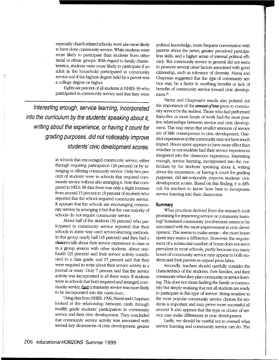especially church-related schools, were also more likely to have done community service. White students were more likely to participate than students from other racial or ethnic groups. With regard to family characteristics, students were more likely to participate if an adult in the household participated in community service and if the highest degree held by a parent was a college degree or higher.

Eighty-six percent of all students in NHES: 96 who participated in community service said that they were

**Interesting enough, service learning, incorporated into the curriculum by the students' speaking about it, writing about the experience, or having it count for grading purposes, did not noticeably improve students' civic development scores.** 

> in schools that encouraged community service, either through requiring participation (18 percent) or by arranging or offering community service. Only two percent of students were in schools that required community service without also arranging it. Note that compared to NELS: 88 data there was only a slight increase from around 15 percent to 18 percent of students who reported that the school required community service. It appears that the schools are encouraging community service by arranging it but that the vast majority of schools do not require community service.

> About half of the students (56 percent) who participated in community service reported that their schools in some way used service-learning methods. In this group nearly half (45 percent) said they had a chance to talk about their service experience in class or in a group session with other students. About onefourth (23 percent) said their service activity contributed to a class grade, and 17 percent said that they were required to write about their service activity in a journal or essay. Only 7 percent said that the service activity was incorporated in all three ways. If students were in schools that both required and arranged community service, their community service was more likely to be incorporated into the curriculum.

> Using data from NHES: 1996, Niemi and Chapman looked at the relationship between ninth through twelfth grade students' participation in community service and their civic development. They concluded that community service activity was associated with several key dimensions of civic development: greater

political knowledge, more frequent conversation with parents about the news, greater perceived participation skills, and a higher sense of internal political efficacy. But community service in general did not seem to promote several other factors associated with good citizenship, such as tolerance of diversity. Niemi and Chapman suggested that the *type* of community service may be a factor in ascribing benefits or lack of benefits of community service toward civic development.10

Niemi and Chapman's results also pointed out the importance of the *amount qftime* given to community service by the student. Those who had performed thirty-five or more hours of work had the most positive relationships between service and civic development. This may mean that smaller amounts of service are of little consequence to civic development. Oneshot experiences in the community may not have much impact. Hours spent appears to have more effect than whether or not students had their service experiences integrated into the classroom experience. Interesting enough, service learning, incorporated into the curriculum by the students' speaking about it, writing about the experience, or having it count for grading purposes, did *not* noticeably improve students' civic development scores. Based on this finding, it is difficult for teachers to know how best to incorporate service learning into their classrooms.

#### **Summary**

What practices derived from the research look promising for improving service or community learning? Sustained community involvement seems to be assodated with the most improvement in civic development. This seems to make sense-the more hours spent may make a difference. However, the requirement of a substantial number of hours does not seem prevalent in most schools, partly because too many hours of community service may appear to both students and their parents as unpaid peon labor.

I

 $-1$ 

I

Secondly, teachers should carefully consider the characteristics of the students, their families, and their community when they plan community or service learning. This does not mean faulting the family or community but simply realizing that not all students are ready to participate in this type of service. Being sensitive to the most popular community service choices for students is important and may prove more successful all around. It also appears that the type or choice of service may make differences in civic development.

lastly, we should be careful not to oversell what service learning and community service can do. The